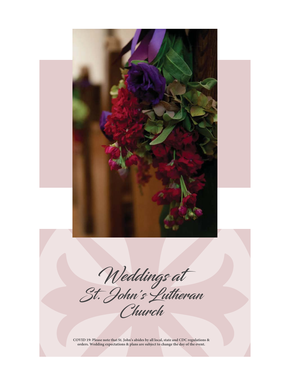

Weddings at St. John's Lutheran Church

**COVID 19: Please note that St. John's abides by all local, state and CDC regulations & orders. Wedding expectations & plans are subject to change the day of the event.**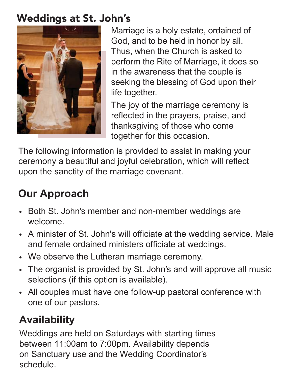## Weddings at St. John's



Marriage is a holy estate, ordained of God, and to be held in honor by all. Thus, when the Church is asked to perform the Rite of Marriage, it does so in the awareness that the couple is seeking the blessing of God upon their life together.

The joy of the marriage ceremony is reflected in the prayers, praise, and thanksgiving of those who come together for this occasion.

The following information is provided to assist in making your ceremony a beautiful and joyful celebration, which will reflect upon the sanctity of the marriage covenant.

## **Our Approach**

- Both St. John's member and non-member weddings are welcome.
- A minister of St. John's will officiate at the wedding service. Male and female ordained ministers officiate at weddings.
- We observe the Lutheran marriage ceremony.
- The organist is provided by St. John's and will approve all music selections (if this option is available).
- All couples must have one follow-up pastoral conference with one of our pastors.

## **Availability**

Weddings are held on Saturdays with starting times between 11:00am to 7:00pm. Availability depends on Sanctuary use and the Wedding Coordinator's schedule.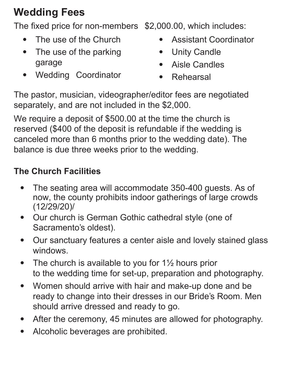# **Wedding Fees**

The fixed price for non-members \$2,000.00, which includes:

- $\bullet$ The use of the Church
- $\bullet$  The use of the parking garage
- $\bullet$ Wedding Coordinator
- •Assistant Coordinator
- •Unity Candle
- $\bullet$ Aisle Candles
- $\bullet$ Rehearsal

The pastor, musician, videographer/editor fees are negotiated separately, and are not included in the \$2,000.

We require a deposit of \$500.00 at the time the church is reserved (\$400 of the deposit is refundable if the wedding is canceled more than 6 months prior to the wedding date). The balance is due three weeks prior to the wedding.

#### **The Church Facilities**

- $\bullet$  The seating area will accommodate 350-400 guests. As of now, the [county](https://emd.saccounty.net/EMD-COVID-19-Information/Documents/COVID%2019%20Guidance%20Events%20and%20Gatherings.pdf) prohibits indoor gatherings of large crowds (12/29/20)/
- $\bullet$  Our church is German Gothic cathedral style (one of Sacramento's oldest).
- $\bullet$  Our sanctuary features a center aisle and lovely stained glass windows.
- $\bullet$ The church is available to you for  $1\frac{1}{2}$  hours prior to the wedding time for set-up, preparation and photography.
- $\bullet$  Women should arrive with hair and make-up done and be ready to change into their dresses in our Bride's Room. Men should arrive dressed and ready to go.
- $\bullet$ After the ceremony, 45 minutes are allowed for photography.
- $\bullet$ Alcoholic beverages are prohibited.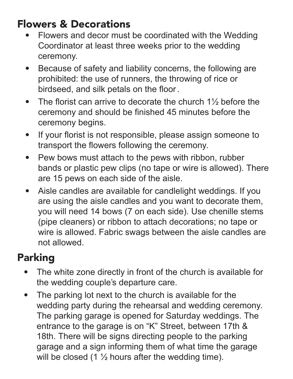## Flowers & Decorations

- Flowers and decor must be coordinated with the Wedding Coordinator at least three weeks prior to the wedding ceremony.
- Because of safety and liability concerns, the following are prohibited: the use of runners, the throwing of rice or birdseed, and silk petals on the floor.
- The florist can arrive to decorate the church  $1\frac{1}{2}$  before the ceremony and should be finished 45 minutes before the ceremony begins.
- If your florist is not responsible, please assign someone to transport the flowers following the ceremony.
- Pew bows must attach to the pews with ribbon, rubber bands or plastic pew clips (no tape or wire is allowed). There are 15 pews on each side of the aisle.
- Aisle candles are available for candlelight weddings. If you are using the aisle candles and you want to decorate them, you will need 14 bows (7 on each side). Use chenille stems (pipe cleaners) or ribbon to attach decorations; no tape or wire is allowed. Fabric swags between the aisle candles are not allowed.

# Parking

- The white zone directly in front of the church is available for the wedding couple's departure care.
- The parking lot next to the church is available for the wedding party during the rehearsal and wedding ceremony. The parking garage is opened for Saturday weddings. The entrance to the garage is on "K" Street, between 17th & 18th. There will be signs directing people to the parking garage and a sign informing them of what time the garage will be closed (1  $\frac{1}{2}$  hours after the wedding time).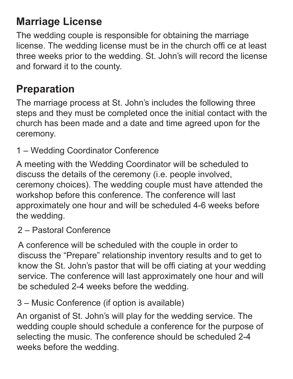## **Marriage License**

The wedding couple is responsible for obtaining the marriage license. The wedding license must be in the church offi ce at least three weeks prior to the wedding. St. John's will record the license and forward it to the county.

### **Preparation**

The marriage process at St. John's includes the following three steps and they must be completed once the initial contact with the church has been made and a date and time agreed upon for the ceremony.

1 – Wedding Coordinator Conference

A meeting with the Wedding Coordinator will be scheduled to discuss the details of the ceremony (i.e. people involved, ceremony choices). The wedding couple must have attended the workshop before this conference. The conference will last approximately one hour and will be scheduled 4-6 weeks before the wedding.

2 – Pastoral Conference

A conference will be scheduled with the couple in order to discuss the "Prepare" relationship inventory results and to get to know the St. John's pastor that will be offi ciating at your wedding service. The conference will last approximately one hour and will be scheduled 2-4 weeks before the wedding.

3 – Music Conference (if option is available)

An organist of St. John's will play for the wedding service. The wedding couple should schedule a conference for the purpose of selecting the music. The conference should be scheduled 2-4 weeks before the wedding.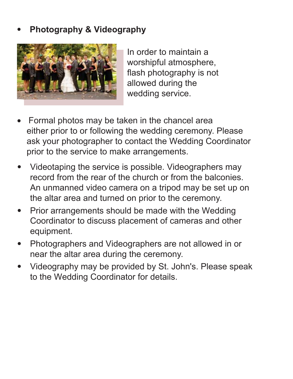#### • **Photography & Videography**



In order to maintain a worshipful atmosphere, flash photography is not allowed during the wedding service.

- Formal photos may be taken in the chancel area either prior to or following the wedding ceremony. Please ask your photographer to contact the Wedding Coordinator prior to the service to make arrangements.
- Videotaping the service is possible. Videographers may record from the rear of the church or from the balconies. An unmanned video camera on a tripod may be set up on the altar area and turned on prior to the ceremony.
- Prior arrangements should be made with the Wedding Coordinator to discuss placement of cameras and other equipment.
- Photographers and Videographers are not allowed in or near the altar area during the ceremony.
- Videography may be provided by St. John's. Please speak to the Wedding Coordinator for details.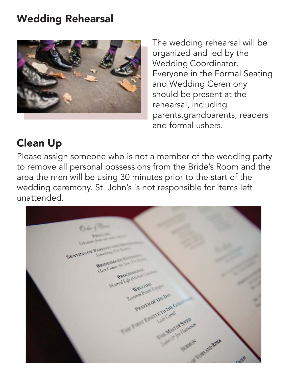## Wedding Rehearsal



The wedding rehearsal will be organized and led by the Wedding Coordinator. Everyone in the Formal Seating and Wedding Ceremony should be present at the rehearsal, including parents,grandparents, readers and formal ushers.

## Clean Up

Please assign someone who is not a member of the wedding party to remove all personal possessions from the Bride's Room and the area the men will be using 30 minutes prior to the start of the wedding ceremony. St. John's is not responsible for items left unattended.